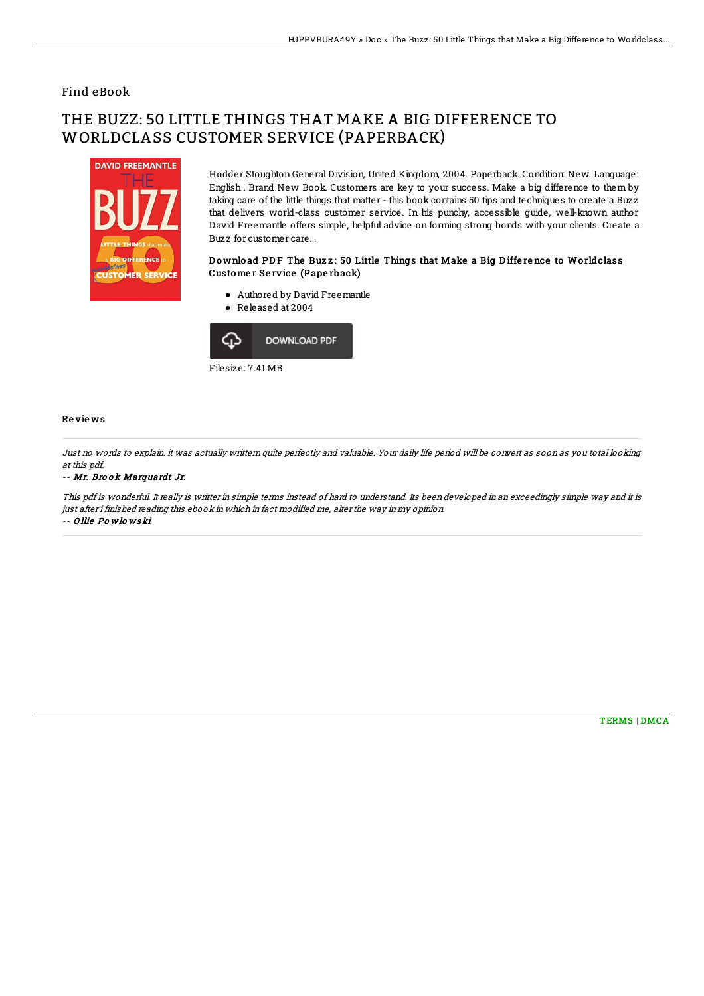## Find eBook

# THE BUZZ: 50 LITTLE THINGS THAT MAKE A BIG DIFFERENCE TO WORLDCLASS CUSTOMER SERVICE (PAPERBACK)



Hodder Stoughton General Division, United Kingdom, 2004. Paperback. Condition: New. Language: English . Brand New Book. Customers are key to your success. Make a big difference to them by taking care of the little things that matter - this book contains 50 tips and techniques to create a Buzz that delivers world-class customer service. In his punchy, accessible guide, well-known author David Freemantle offers simple, helpful advice on forming strong bonds with your clients. Create a Buzz for customer care...

### Download PDF The Buzz: 50 Little Things that Make a Big Difference to Worldclass Customer Service (Paperback)

- Authored by David Freemantle
- Released at 2004



#### Re vie ws

Just no words to explain. it was actually writtern quite perfectly and valuable. Your daily life period will be convert as soon as you total looking at this pdf.

#### -- Mr. Brook Marquardt Jr.

This pdf is wonderful. It really is writter in simple terms instead of hard to understand. Its been developed in an exceedingly simple way and it is just after i finished reading this ebook in which in fact modified me, alter the way in my opinion. -- O llie Po wlo ws ki